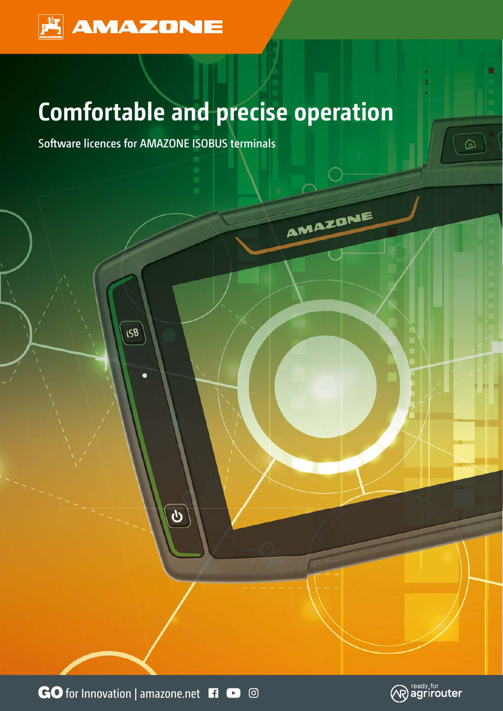

# **Comfortable and precise operation**

AMAZONE

**Software licences for AMAZONE ISOBUS terminals** 

**ISB** 

GO for Innovation | amazone.net **Fi**  $\bullet$  <sup>©</sup>

 $\overline{\mathcal{P}}$ 



⋒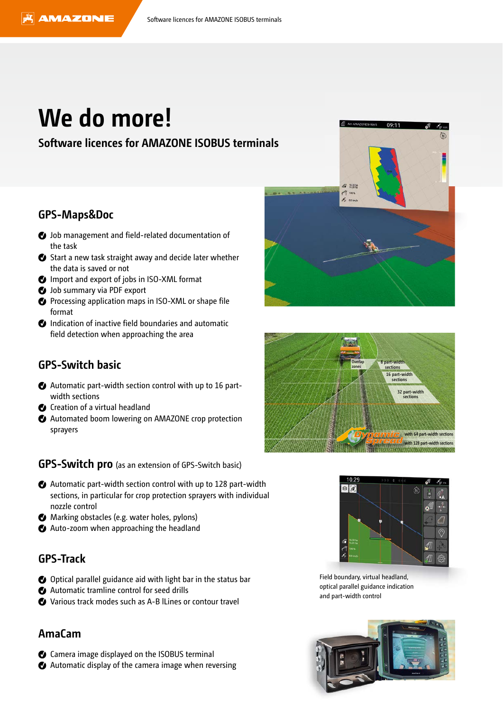## **We do more!**

### **Software licences for AMAZONE ISOBUS terminals**

#### **GPS-Maps&Doc**

- $\bullet$  Job management and field-related documentation of the task
- Start a new task straight away and decide later whether the data is saved or not
- $\bullet$  Import and export of jobs in ISO-XML format
- $\bullet$  Job summary via PDF export
- Processing application maps in ISO-XML or shape file format
- *O* Indication of inactive field boundaries and automatic field detection when approaching the area

### **GPS-Switch basic**

- Automatic part-width section control with up to 16 partwidth sections
- C Creation of a virtual headland
- Automated boom lowering on AMAZONE crop protection sprayers

**GPS-Switch pro** (as an extension of GPS-Switch basic)

- Automatic part-width section control with up to 128 part-width sections, in particular for crop protection sprayers with individual nozzle control
- Marking obstacles (e.g. water holes, pylons)
- Auto-zoom when approaching the headland

### **GPS-Track**

- O Optical parallel guidance aid with light bar in the status bar
- Automatic tramline control for seed drills
- Various track modes such as A-B lLines or contour travel

#### **AmaCam**

- Camera image displayed on the ISOBUS terminal
- Automatic display of the camera image when reversing







Field boundary, virtual headland, optical parallel guidance indication and part-width control

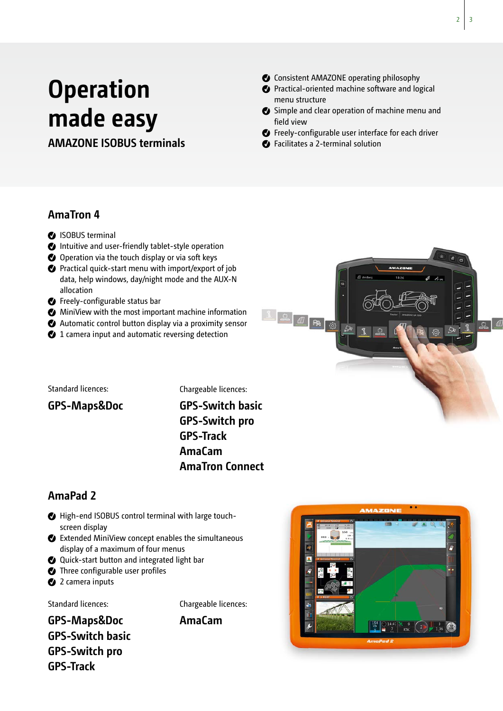# **Operation made easy**

### **AMAZONE ISOBUS terminals**

Consistent AMAZONE operating philosophy

- **C** Practical-oriented machine software and logical menu structure
- Simple and clear operation of machine menu and field view
- **C** Freely-configurable user interface for each driver
- Facilitates a 2-terminal solution

### **AmaTron 4**

- **O** ISOBUS terminal
- Intuitive and user-friendly tablet-style operation
- O Operation via the touch display or via soft keys
- Practical quick-start menu with import/export of job data, help windows, day/night mode and the AUX-N allocation
- **C** Freely-configurable status bar
- MiniView with the most important machine information
- Automatic control button display via a proximity sensor
- 1 camera input and automatic reversing detection

Standard licences:

Chargeable licences:

**GPS-Maps&Doc**

**GPS-Switch basic GPS-Switch pro GPS-Track AmaCam AmaTron Connect**

### **AmaPad 2**

- High-end ISOBUS control terminal with large touchscreen display
- Extended MiniView concept enables the simultaneous display of a maximum of four menus
- Quick-start button and integrated light bar
- $\bullet$  Three configurable user profiles
- <sup>2</sup> 2 camera inputs

Standard licences:

Chargeable licences:

**GPS-Maps&Doc AmaCam GPS-Switch basic GPS-Switch pro GPS-Track**





 $\overline{2}$